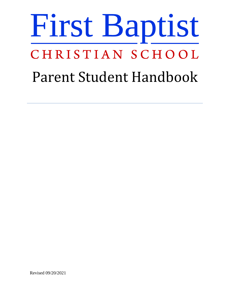# First Baptist CHRISTIAN SCHOOL Parent Student Handbook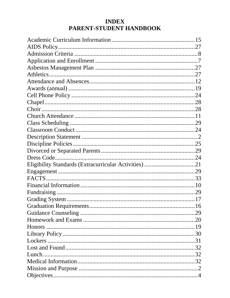# **INDEX** PARENT-STUDENT HANDBOOK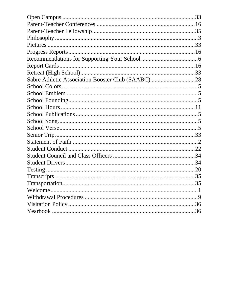| Sabre Athletic Association Booster Club (SAABC) 28 |  |
|----------------------------------------------------|--|
|                                                    |  |
|                                                    |  |
|                                                    |  |
|                                                    |  |
|                                                    |  |
|                                                    |  |
|                                                    |  |
|                                                    |  |
|                                                    |  |
|                                                    |  |
|                                                    |  |
|                                                    |  |
|                                                    |  |
|                                                    |  |
|                                                    |  |
|                                                    |  |
|                                                    |  |
|                                                    |  |
|                                                    |  |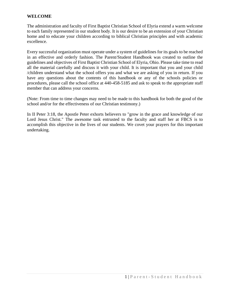# **WELCOME**

The administration and faculty of First Baptist Christian School of Elyria extend a warm welcome to each family represented in our student body. It is our desire to be an extension of your Christian home and to educate your children according to biblical Christian principles and with academic excellence.

Every successful organization must operate under a system of guidelines for its goals to be reached in an effective and orderly fashion. The Parent/Student Handbook was created to outline the guidelines and objectives of First Baptist Christian School of Elyria, Ohio. Please take time to read all the material carefully and discuss it with your child. It is important that you and your child /children understand what the school offers you and what we are asking of you in return. If you have any questions about the contents of this handbook or any of the schools policies or procedures, please call the school office at 440-458-5185 and ask to speak to the appropriate staff member that can address your concerns.

(Note: From time to time changes may need to be made to this handbook for both the good of the school and/or for the effectiveness of our Christian testimony.)

In II Peter 3:18, the Apostle Peter exhorts believers to "grow in the grace and knowledge of our Lord Jesus Christ." The awesome task entrusted to the faculty and staff her at FBCS is to accomplish this objective in the lives of our students. We covet your prayers for this important undertaking.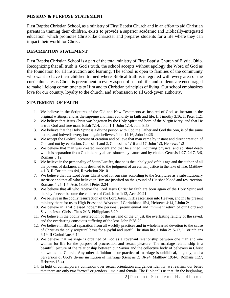# **MISSION & PURPOSE STATEMENT**

First Baptist Christian School, as a ministry of First Baptist Church and in an effort to aid Christian parents in training their children, exists to provide a superior academic and Biblically-integrated education, which promotes Christ-like character and prepares students for a life where they can impact their world for Christ.

#### **DESCRIPTION STATEMENT**

First Baptist Christian School is a part of the total ministry of First Baptist Church of Elyria, Ohio. Recognizing that all truth is God's truth, the school accepts without apology the Word of God as the foundation for all instruction and learning. The school is open to families of the community who want to have their children trained where Biblical truth is integrated with every area of the curriculum. Jesus Christ is preeminent in every aspect of school life, and students are encouraged to make lifelong commitments to Him and to Christian principles of living. Our school emphasizes love for our country, loyalty to the church, and submission to all God-given authority.

# **STATEMENT OF FAITH**

- 1. We believe in the Scriptures of the Old and New Testaments as inspired of God, as inerrant in the original writings, and as the supreme and final authority in faith and life. II Timothy 3:16, II Peter 1:21
- 2. We believe that Jesus Christ was begotten by the Holy Spirit and born of the Virgin Mary, and that He is true God and true man. Isaiah 7:14, John 1:1, John 1:14, John 8:53
- 3. We believe that the Holy Spirit is a divine person with God the Father and God the Son, is of the same nature, and indwells every born-again believer. John 14:16, John 14:26
- 4. We accept the Biblical account of creation and believe that man came by instant and direct creation of God and not by evolution. Genesis 1 and 2, Colossians 1:16 and 17, John 1:3, Hebrews 1:2
- 5. We believe that man was created innocent and that he sinned, incurring physical and spiritual death which is separation from God; thereby all are sinners by nature and by choice. Genesis 1:27, 2:17, 3:6, Romans 5:12
- 6. We believe in the personality of Satan/Lucifer, that he is the unholy god of this age and the author of all the powers of darkness and is destined to the judgment of an eternal justice in the lake of fire. Matthew 4:1-3, II Corinthians 4:4, Revelation 20:10
- 7. We believe that the Lord Jesus Christ died for our sins according to the Scriptures as a substitutionary sacrifice and that all who believe in Him are justified on the ground of His shed blood and resurrection. Romans 4:25, 1:7, Acts 13:39, I Peter 2:24
- 8. We believe that all who receive the Lord Jesus Christ by faith are born again of the Holy Spirit and thereby forever become the children of God. John 1:12, Acts 20:21
- 9. We believe in the bodily resurrection of the Lord Jesus, in His ascension into Heaven, and in His present ministry there for us as High Priest and Advocate. I Corinthians 15:4, Hebrews 4:14, I John 2:1
- 10. We believe in "that blessed hope," the personal, premillennial and imminent return of our Lord and Savior, Jesus Christ. Titus 2:13, Philippians 3:20
- 11. We believe in the bodily resurrection of the just and of the unjust, the everlasting felicity of the saved, and the everlasting conscious suffering of the lost. John 5:28-29
- 12. We believe in Biblical separation from all worldly practices and in wholehearted devotion to the cause of Christ as the only scriptural basis for a joyful and useful Christian life. I John 2:15-17, I Corinthians 6:19, II Corinthians 6:14
- 13. We believe that marriage is ordained of God as a covenant relationship between one man and one woman for life for the purpose of procreation and sexual pleasure. The marriage relationship is a beautiful picture of the relationship between our Savior and the collective body of believers in Christ known as the Church. Any other definition of or practice of marriage is unbiblical, ungodly, and a perversion of God's divine institution of marriage (Genesis 2: 18-24; Matthew 19:4-6; Romans 1:27, Hebrews 13:4)
- 14. In light of contemporary confusion over sexual orientation and gender identity, we reaffirm our belief that there are only two "sexes" or genders—male and female. The Bible tells us that "in the beginning,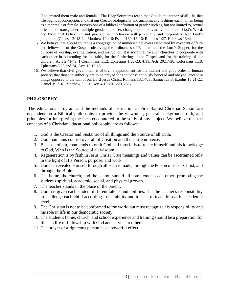God created them male and female." The Holy Scriptures teach that God is the author of all life, that life begins at conception, and that our Creator biologically and anatomically fashions each human being as either male or female. Perversions of a biblical definition of gender such as, but not limited to, sexual orientation, transgender, multiple genders, and sex change operations, are violations of God's Word, and those that believe in and practice such behavior will personally and corporately face God's judgment. (Genesis 2: 18-24; Matthew 19:4-6; Psalm 139: 13-16; Romans 1:27, Hebrews 13:4)

- 15. We believe that a local church is a congregation of immersed believers associated by covenant of faith and fellowship of the Gospel, observing the ordinances of Baptism and the Lord's Supper, for the purpose of worship, evangelization, and instruction. It is scriptural for such churches to cooperate with each other in contending for the faith, for the furthering of the Gospel, and for the training of our children. Acts 2:41-42, I Corinthians 11:2, Ephesians 1:22-23, 4:11, Acts 20:17-28, Colossians 1:18, Ephesians 5:23 and 24, Acts 15:13-18
- 16. We believe that civil government is of divine appointment for the interest and good order of human society; that those in authority are to be prayed for and conscientiously honored and obeyed, except in things opposed to the will of our Lord Jesus Christ. Romans 13:1-7, II Samuel 23:3, Exodus 18:21-22, Daniel 3:17-18, Matthew 22:21, Acts 4:19-20, 5:20, 23:5

# **PHILOSOPHY**

The educational program and the methods of instruction at First Baptist Christian School are dependent on a Biblical philosophy to provide the viewpoint, general background truth, and principles for interpreting the facts encountered in the study of any subject. We believe that the concepts of a Christian educational philosophy are as follows:

- 1. God is the Creator and Sustainer of all things and the Source of all truth.
- 2. God maintains control over all of Creation and the entire universe.
- 3. Because of sin, man tends to omit God and thus fails to relate himself and his knowledge to God, Who is the Source of all wisdom.
- 4. Regeneration is by faith in Jesus Christ. True meanings and values can be ascertained only in the light of His Person, purpose, and work.
- 5. God has revealed Himself through all He has made, through the Person of Jesus Christ, and through the Bible.
- 6. The home, the church, and the school should all complement each other, promoting the student's spiritual, academic, social, and physical growth.
- 7. The teacher stands in the place of the parent.
- 8. God has given each student different talents and abilities. It is the teacher's responsibility to challenge each child according to his ability and to seek to teach him at his academic level.
- 9. The Christian is not to be conformed to the world but must recognize his responsibility and his role in life in our democratic society.
- 10. The student's home, church, and school experience and training should be a preparation for life -- a life of fellowship with God and service to others.
- 11. The prayer of a righteous person has a powerful effect.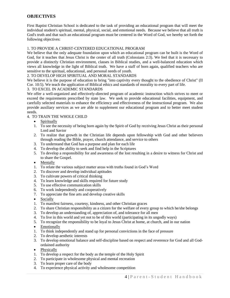#### **OBJECTIVES**

First Baptist Christian School is dedicated to the task of providing an educational program that will meet the individual student's spiritual, mental, physical, social, and emotional needs. Because we believe that all truth is God's truth and that such an educational program must be centered in the Word of God, we hereby set forth the following objectives:

#### 1. TO PROVIDE A CHRIST-CENTERED EDUCATIONAL PROGRAM

We believe that the only adequate foundation upon which an educational program can be built is the Word of God, for it teaches that Jesus Christ is the center of all truth (Colossians 2:3). We feel that it is necessary to provide a distinctly Christian environment, classes in Biblical studies, and a well-balanced education which views all knowledge in the light of Biblical truth. We have a staff of born again, qualified teachers who are sensitive to the spiritual, educational, and personal needs of youth.

#### 2. TO DEVELOP HIGH SPIRITUAL AND MORAL STANDARDS

We believe it is the purpose of education to bring "into captivity every thought to the obedience of Christ" (II Cor. 10:5). We teach the application of Biblical ethics and standards of morality to every part of life.

#### 3. TO EXCEL IN ACADEMIC STANDARDS

We offer a well-organized and effectively-directed program of academic instruction which strives to meet or exceed the requirements prescribed by state law. We seek to provide educational facilities, equipment, and carefully selected materials to enhance the efficiency and effectiveness of the instructional program. We also provide auxiliary services as we are able to supplement our educational program and to better meet student needs.

#### 4. TO TRAIN THE WHOLE CHILD

- Spiritually
- 1. To see the necessity of being born again by the Spirit of God by receiving Jesus Christ as their personal Lord and Savior
- 2. To realize that growth in the Christian life depends upon fellowship with God and other believers through reading the Bible, prayer, church attendance, and service to others
- 3. To understand that God has a purpose and plan for each life
- 4. To develop the ability to seek and find help in the Scriptures
- 5. To develop a responsibility for and awareness of the lost resulting in a desire to witness for Christ and to share the Gospel.
- Mentally
- 1. To relate the various subject matter areas with truths found in God's Word
- 2. To discover and develop individual aptitudes
- 3. To cultivate powers of critical thinking
- 4. To learn knowledge and skills required for future study
- 5. To use effective communication skills
- 6. To work independently and cooperatively
- 7. To appreciate the fine arts and develop creative skills
- Socially
- 1. To manifest fairness, courtesy, kindness, and other Christian graces
- 2. To share Christian responsibility as a citizen for the welfare of every group to which he/she belongs
- 3. To develop an understanding of, appreciation of, and tolerance for all men
- 4. To live in this world and yet not to be of this world (participating in its ungodly ways)
- 5. To recognize the responsibility to be loyal to Jesus Christ at home, at church, and in our nation
- Emotionally
- 1. To think independently and stand up for personal convictions in the face of pressure
- 2. To develop aesthetic interests
- 3. To develop emotional balance and self-discipline based on respect and reverence for God and all Godordained authority
- Physically
- 1. To develop a respect for the body as the temple of the Holy Spirit
- 2. To participate in wholesome physical and mental recreation
- 3. To learn proper care of the body
- 4. To experience physical activity and wholesome competition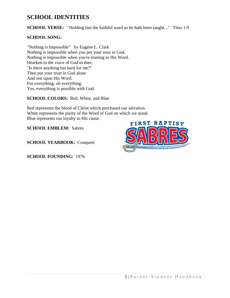# **SCHOOL IDENTITIES**

**SCHOOL VERSE:** "Holding fast the faithful word as he hath been taught..." Titus 1:9

# **SCHOOL SONG:**

"Nothing is Impossible" by Eugene L. Clark Nothing is impossible when you put your trust in God. Nothing is impossible when you're trusting in His Word. Hearken to the voice of God to thee, "Is there anything too hard for me?" Then put your trust in God alone And rest upon His Word. For everything; oh everything; Yes, everything is possible with God.

**SCHOOL COLORS:** Red, White, and Blue

Red represents the blood of Christ which purchased our salvation. White represents the purity of the Word of God on which we stand. Blue represents our loyalty to His cause.

**SCHOOL EMBLEM:** Sabres

**SCHOOL YEARBOOK:** Conquest

**SCHOOL FOUNDING:** 1976

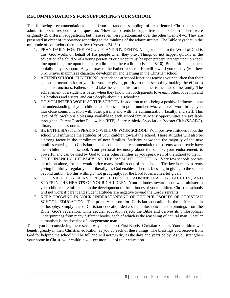# **RECOMMENDATIONS FOR SUPPORTING YOUR SCHOOL**

The following recommendations come from a random sampling of experienced Christian school administrators in response to the question, "How can parents be supportive of the school?" There were originally 29 different suggestions, but these seven were predominant over the other twenty-two. They are presented in order of importance according to the thinking of the administrators. The Bible says that in the multitude of counselors there is safety (Proverbs 24: 6b)

- 1. PRAY DAILY FOR THE FACULTY AND STUDENTS. A major theme in the Word of God is this: God works on behalf of His people when they pray. Things do not happen quickly in the education of a child or of a young person. "For precept must be upon precept, precept upon precept; line upon line, line upon line; here a little and there a little" (Isaiah 28:10). Be faithful and patient in daily prayer support. As you pray to the Father in secret, He will reward you openly (Matthew 6:6). Prayer maximizes character development and learning in the Christian school.
- 2. ATTEND SCHOOL FUNCTIONS. Attendance at school functions teaches your children that their education means a lot to you, for you are giving priority to their school by making the effort to attend its functions. Fathers should take the lead in this, for the father is the head of the family. The achievement of a student is better when they know that both parents love each other, love him and his brothers and sisters, and care deeply about his schooling.
- 3. DO VOLUNTEER WORK AT THE SCHOOL. In addition to this being a positive influence upon the understanding of your children as discussed in point number two, volunteer work brings you into close communication with other parents and with the administration, faculty, and staff. This level of fellowship is a blessing available to each school family. Many opportunities are available through the Parent Teacher Fellowship (PTF), Sabre Athletic Association Booster Club (SAABC), library, and classrooms.
- 4. BE ENTHUSIASTIC, SPEAKING WELL OF YOUR SCHOOL. Your positive attitudes about the school will influence the attitudes of your children toward the school. These attitudes will also be a strong factor in the enrollment of new families. Statistics show that the majority of the new families entering into Christian schools come on the recommendation of parents who already have their children in the school. Your personal testimony about the school, your endorsement, is powerful and can be used by God to bless other families as you speak well of the school to them.
- 5. GIVE FINANCIAL HELP BEYOND THE PAYMENT OF TUITION. Very few schools operate on tuition alone, for that would price many families out of the school. The key is many parents giving faithfully, regularly, and liberally, as God enables. There is blessing in giving to the school beyond tuition. Do this willingly, not grudgingly, for the Lord loves a cheerful giver.
- 6. CULTIVATE HONOR AND RESPECT FOR THE ADMINISTRATION, FACULTY, AND STAFF IN THE HEARTS OF YOUR CHILDREN. Your attitudes toward those who minister to your children are influential in the development of the attitudes of your children. Christian schools will not work if parent and student attitudes are negative toward the Lord's servants.
- 7. KEEP GROWING IN YOUR UNDERSTANDING OF THE PHILOSOPHY OF CHRISTIAN SCHOOL EDUCATION. The primary reason for Christian education is the difference in philosophy. Simply stated, Christian education derives its philosophical underpinnings from the Bible, God's revelation, while secular education rejects the Bible and derives its philosophical underpinnings from many different books, each of which is the reasoning of natural man. Secular humanism is the doctrine of unregenerate man.

Thank you for considering these seven ways to support First Baptist Christian School. Your children will benefit greatly in their Christian education as you do each of these things. The blessings you receive from God for helping the school will be full and will not run dry as the days and years go by. As you strengthen your home in Christ, your children will get more out of their education.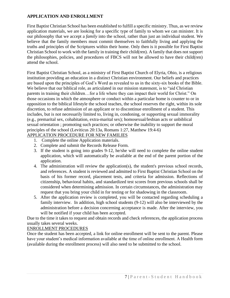# **APPLICATION AND ENROLLMENT**

First Baptist Christian School has been established to fulfill a specific ministry. Thus, as we review application materials, we are looking for a specific type of family to whom we can minister. It is our philosophy that we accept a *family* into the school, rather than just an individual student. We believe that the family members must commit themselves to faithfully living and applying the truths and principles of the Scriptures within their home. Only then is it possible for First Baptist Christian School to work with the family in training their child(ren). A family that does not support the philosophies, policies, and procedures of FBCS will not be allowed to have their child(ren) attend the school.

First Baptist Christian School, as a ministry of First Baptist Church of Elyria, Ohio, is a religious institution providing an education in a distinct Christian environment. Our beliefs and practices are based upon the principles of God's Word as revealed to us in the sixty-six books of the Bible. We believe that our biblical role, as articulated in our mission statement, is to "aid Christian" parents in training their children…for a life where they can impact their world for Christ." On those occasions in which the atmosphere or conduct within a particular home is counter to or in opposition to the biblical lifestyle the school teaches, the school reserves the right, within its sole discretion, to refuse admission of an applicant or to discontinue enrollment of a student. This includes, but is not necessarily limited to, living in, condoning, or supporting sexual immorality (e.g., premarital sex, cohabitation, extra-marital sex); homosexual/lesbian acts or unbiblical sexual orientation ; promoting such practices; or otherwise the inability to support the moral principles of the school (Leviticus 20:13a, Romans 1:27, Matthew 19:4-6)

# APPLICATION PROCEDURE FOR NEW FAMILIES

- 1. Complete the online Application materials.
- 2. Complete and submit the Records Release Form.
- 3. If the student is going into grades 9-12, he/she will need to complete the online student application, which will automatically be available at the end of the parent portion of the application.
- 4. The administration will review the application(s), the student's previous school records, and references. A student is reviewed and admitted to First Baptist Christian School on the basis of his former record, placement tests, and criteria for admission. Reflections of citizenship, behavioral habits, and standardized test scores from previous schools shall be considered when determining admission. In certain circumstances, the administration may request that you bring your child in for testing or for shadowing in the classroom.
- 5. After the application review is completed, you will be contacted regarding scheduling a family interview. In addition, high school students (9-12) will also be interviewed by the administration before a decision concerning acceptance is made. After the interview, you will be notified if your child has been accepted.

Due to the time it takes to request and obtain records and check references, the application process usually takes several weeks.

# ENROLLMENT PROCEDURES

Once the student has been accepted, a link for online enrollment will be sent to the parent. Please have your student's medical information available at the time of online enrollment. A Health form (available during the enrollment process) will also need to be submitted to the school.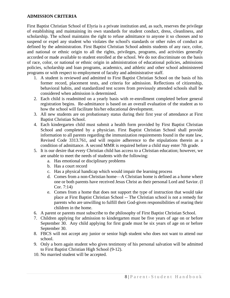# **ADMISSION CRITERIA**

First Baptist Christian School of Elyria is a private institution and, as such, reserves the privilege of establishing and maintaining its own standards for student conduct, dress, cleanliness, and scholarship. The school maintains the right to refuse admittance to anyone it so chooses and to suspend or expel any student who violates the school's standards or other rules of conduct as defined by the administration. First Baptist Christian School admits students of any race, color, and national or ethnic origin to all the rights, privileges, programs, and activities generally accorded or made available to student enrolled at the school. We do not discriminate on the basis of race, color, or national or ethnic origin in administration of educational policies, admissions policies, scholarship and loan programs, academics, and athletic and other school administered programs or with respect to employment of faculty and administrative staff.

- 1. A student is reviewed and admitted to First Baptist Christian School on the basis of his former record, placement tests, and criteria for admission. Reflections of citizenship, behavioral habits, and standardized test scores from previously attended schools shall be considered when admission is determined.
- 2. Each child is readmitted on a yearly basis with re-enrollment completed before general registration begins. Re-admittance is based on an overall evaluation of the student as to how the school will facilitate his/her educational development.
- 3. All new students are on probationary status during their first year of attendance at First Baptist Christian School.
- 4. Each kindergarten child must submit a health form provided by First Baptist Christian School and completed by a physician. First Baptist Christian School shall provide information to all parents regarding the immunization requirements found in the state law, Revised Code 3313.761, and will require adherence to the stipulations therein as a condition of admittance. A second MMR is required before a child may enter 7th grade.
- 5. It is our desire that every Christian child has access to a Christian education; however, we are unable to meet the needs of students with the following:
	- a. Has emotional or disciplinary problems
	- b. Has a court record
	- c. Has a physical handicap which would impair the learning process
	- d. Comes from a non-Christian home—A Christian home is defined as a home where one or both parents have received Jesus Christ as their personal Lord and Savior. (I Cor. 7:14)
	- e. Comes from a home that does not support the type of instruction that would take place at First Baptist Christian School -- The Christian school is not a remedy for parents who are unwilling to fulfill their God-given responsibilities of rearing their children in the home.
- 6. A parent or parents must subscribe to the philosophy of First Baptist Christian School.
- 7. Children applying for admission to kindergarten must be five years of age on or before September 30. Any child applying for first grade must be six years of age on or before September 30.
- 8. FBCS will not accept any junior or senior high student who does not want to attend our school.
- 9. Only a born again student who gives testimony of his personal salvation will be admitted to First Baptist Christian High School (9-12).
- 10. No married student will be accepted.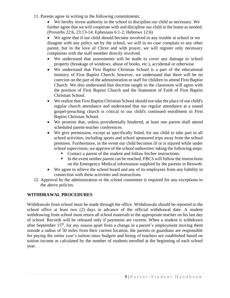11. Parents agree in writing to the following commitments:

• We hereby invest authority in the school to discipline our child as necessary. We further agree that we will cooperate with and discipline our child in the home as needed. (Proverbs 22:6, 23:13-14; Ephesians 6:1-2; Hebrews 12:6)

• We agree that if our child should become involved in any trouble at school or we disagree with any policy set by the school, we will in no case complain to any other parent, but in the love of Christ and with prayer, we will register only necessary complaints with the staff member directly involved.

- We understand that assessments will be made to cover any damage to school property (breakage of windows, abuse of books, etc.), accidental or otherwise
- We understand that First Baptist Christian School is a part of the educational ministry of First Baptist Church; however, we understand that there will be no coercion on the part of the administration or staff for children to attend First Baptist Church. We also understand that doctrine taught in the classroom will agree with the position of First Baptist Church and the Statement of Faith of First Baptist Christian School.
- We realize that First Baptist Christian School should not take the place of our child's regular church attendance and understand that our regular attendance at a sound gospel-preaching church is critical to our child's continued enrollment in First Baptist Christian School.
- We promise that, unless providentially hindered, at least one parent shall attend scheduled parent-teacher conferences.
- We give permission, except as specifically listed, for our child to take part in all school activities, including sports and school sponsored trips away from the school premises. Furthermore, in the event our child becomes ill or is injured while under school supervision, we approve of the school authorities' taking the following steps:
	- Contact a parent of the student and follow his/her instructions.
	- In the event neither parent can be reached, FBCS will follow the instructions on the Emergency Medical information supplied by the parents in Renweb.
- We agree to relieve the school board and any of its employees from any liability in connection with these activities and instructions.
- 12. Approval by the administration or the school committee is required for any exceptions to the above policies.

# **WITHDRAWAL PROCEDURES**

Withdrawals from school must be made through the office. Withdrawals should be reported to the school office at least two (2) days in advance of the official withdrawal date. A student withdrawing from school must return all school materials to the appropriate teacher on his last day of school. Records will be released only if payments are current. When a student is withdrawn after September  $15<sup>th</sup>$ , for any reason apart from a change in a parent's employment moving them outside a radius of 50 miles from their current location, the parents or guardians are responsible for paying the entire year's tuition since budgets and hiring of teachers are established based on tuition income as calculated by the number of students enrolled at the beginning of each school year.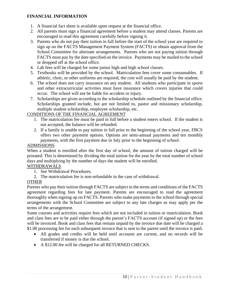# **FINANCIAL INFORMATION**

- 1. A financial fact sheet is available upon request at the financial office.
- 2. All parents must sign a financial agreement before a student may attend classes. Parents are encouraged to read this agreement carefully before signing it.
- 3. Parents who do not pay their tuition in full before the start of the school year are required to sign up on the FACTS Management Payment System (FACTS) or obtain approval from the School Committee for alternate arrangements. Parents who are not paying tuition through FACTS must pay by the date specified on the invoice. Payments may be mailed to the school or dropped off at the school office.
- 4. Lab fees will be charged for some junior high and high school classes.
- 5. Textbooks will be provided by the school. Matriculation fees cover some consumables. If athletic, choir, or other uniforms are required, the cost will usually be paid by the student.
- 6. The school does not carry insurance on any student. All students who participate in sports and other extracurricular activities must have insurance which covers injuries that could occur. The school will not be liable for accident or injury.
- 7. Scholarships are given according to the scholarship schedule outlined by the financial office. Scholarships granted include, but are not limited to, pastor and missionary scholarship, multiple student scholarship, employee scholarship, etc.

# CONDITIONS OF THE FINANCIAL AGREEMENT

- 1. The matriculation fee must be paid in full before a student enters school. If the student is not accepted, the balance will be refunded.
- 2. If a family is unable to pay tuition in full prior to the beginning of the school year, FBCS offers two other payment options. Options are semi-annual payments and ten monthly payments, with the first payment due in July prior to the beginning of school.

# ADMISSIONS

When a student is enrolled after the first day of school, the amount of tuition charged will be prorated. This is determined by dividing the total tuition for the year by the total number of school days and multiplying by the number of days the student will be enrolled.

# WITHDRAWALS

- 1. See Withdrawal Procedures.
- 2. The matriculation fee is non-refundable in the case of withdrawal.

# **OTHER**

Parents who pay their tuition through FACTS are subject to the terms and conditions of the FACTS agreement regarding fees for late payment. Parents are encouraged to read the agreement thoroughly when signing up on FACTS. Parents who make payments to the school through special arrangements with the School Committee are subject to any late charges as may apply per the terms of the arrangement.

Some courses and activities require fees which are not included in tuition or matriculation. Book and class fees are to be paid either through the parent's FACTS account (if signed up) or the fees will be invoiced. Book and class fees that remain unpaid by the invoice due date will be charged a \$1.00 processing fee for each subsequent invoice that is sent to the parent until the invoice is paid.

- All grades and credits will be held until accounts are current, and no records will be transferred if money is due the school.
- A \$12.00 fee will be charged for all RETURNED CHECKS.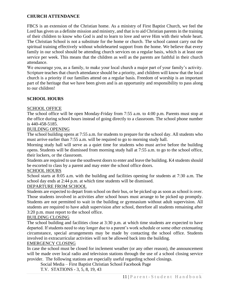# **CHURCH ATTENDANCE**

FBCS is an extension of the Christian home. As a ministry of First Baptist Church, we feel the Lord has given us a definite mission and ministry, and that is to aid Christian parents in the training of their children to know who God is and to learn to love and serve Him with their whole heart. The Christian School is not a substitute for the home or church. The school cannot carry out the spiritual training effectively without wholehearted support from the home. We believe that every family in our school should be attending church services on a regular basis, which is at least one service per week. This means that the children as well as the parents are faithful in their church attendance.

We encourage you, as a family, to make your local church a major part of your family's activity. Scripture teaches that church attendance should be a priority, and children will know that the local church is a priority if our families attend on a regular basis. Freedom of worship is an important part of the heritage that we have been given and is an opportunity and responsibility to pass along to our children!

# **SCHOOL HOURS**

# SCHOOL OFFICE

The school office will be open Monday-Friday from 7:55 a.m. to 4:00 p.m. Parents must stop at the office during school hours instead of going directly to a classroom. The school phone number is 440-458-5185.

# BUILDING OPENING

The school building opens at 7:55 a.m. for students to prepare for the school day. All students who must arrive earlier than 7:55 a.m. will be required to go to morning study hall.

Morning study hall will serve as a quiet time for students who must arrive before the building opens. Students will be dismissed from morning study hall at 7:55 a.m. to go to the school office, their lockers, or the classroom.

Students are required to use the southwest doors to enter and leave the building. K4 students should be escorted to class by a parent and may enter the school office doors.

# SCHOOL HOURS

School starts at 8:05 a.m. with the building and facilities opening for students at 7:30 a.m. The school day ends at 2:44 p.m. at which time students will be dismissed.

# DEPARTURE FROM SCHOOL

Students are expected to depart from school on their bus, or be picked up as soon as school is over. Those students involved in activities after school hours must arrange to be picked up promptly. Students are not permitted to wait in the building or gymnasium without adult supervision. All students are required to have adult supervision after school, therefore all students remaining after 3:20 p.m. must report to the school office.

#### BUILDING CLOSING

The school building and facilities close at 3:30 p.m. at which time students are expected to have departed. If students need to stay longer due to a parent's work schedule or some other extenuating circumstance, special arrangements may be made by contacting the school office. Students involved in extracurricular activities will not be allowed back into the building.

#### EMERGENCY CLOSING

In case the school must be closed for inclement weather (or any other reason), the announcement will be made over local radio and television stations through the use of a school closing service provider. The following stations are especially useful regarding school closings.

Social Media – First Baptist Christian School Facebook Page

T.V. STATIONS - 3, 5, 8, 19, 43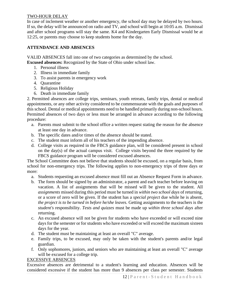# TWO-HOUR DELAY

In case of inclement weather or another emergency, the school day may be delayed by two hours. If so, the delay will be announced on radio and TV, and school will begin at 10:05 a.m. Dismissal and after school programs will stay the same. K4 and Kindergarten Early Dismissal would be at 12:25, or parents may choose to keep students home for the day.

# **ATTENDANCE AND ABSENCES**

VALID ABSENCES fall into one of two categories as determined by the school. **Excused absences:** Recognized by the State of Ohio under school law.

- 1. Personal illness
- 2. Illness in immediate family
- 3. To assist parents in emergency work
- 4. Quarantine
- 5. Religious Holiday
- 6. Death in immediate family

2. Permitted absences are college trips, seminars, youth retreats, family trips, dental or medical appointments, or any other activity considered to be commensurate with the goals and purposes of this school. Dental or medical appointments need to be handled primarily during non-school hours. Permitted absences of two days or less must be arranged in advance according to the following procedure:

- a. Parents must submit to the school office a written request stating the reason for the absence at least one day in advance.
- b. The specific dates and/or times of the absence should be stated.
- c. The student must inform all of his teachers of the impending absence.
- d. College visits as required in the FBCS guidance plan, will be considered present in school on the day(s) of the actual campus visit. College visits beyond the three required by the FBCS guidance program will be considered excused absences.

The School Committee does not believe that students should be excused, on a regular basis, from school for non-emergency trips. The following applies to non-emergency trips of three days or more:

- a. Students requesting an excused absence must fill out an Absence Request Form in advance.
- b. The form should be signed by an administrator, a parent and each teacher before leaving on vacation. A list of assignments that will be missed will be given to the student. All *assignments* missed during this period must be turned in *within two school days* of returning, or a score of zero will be given. If the student has a *special project* due while he is absent*, the project is to be turned in before he/she leaves.* Getting assignments to the teachers is the *student's* responsibility. *Tests and quizzes* must be made up *within three school days* after returning.
- c. An excused absence will not be given for students who have exceeded or will exceed nine days for the semester or for students who have exceeded or will exceed the maximum sixteen days for the year.
- d. The student must be maintaining at least an overall "C" average.
- e. Family trips, to be excused, may only be taken with the student's parents and/or legal guardian.
- f. Only sophomores, juniors, and seniors who are maintaining at least an overall "C" average will be excused for a college trip.

# EXCESSIVE ABSENCES

Excessive absences are detrimental to a student's learning and education. Absences will be considered excessive if the student has more than 9 absences per class per semester. Students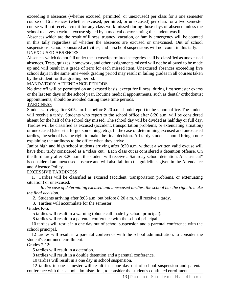exceeding 9 absences (whether excused, permitted, or unexcused) per class for a one semester course or 16 absences (whether excused, permitted, or unexcused) per class for a two semester course will not receive credit for any class work missed during those days of absence unless the school receives a written excuse signed by a medical doctor stating the student was ill.

Absences which are the result of illness, truancy, vacation, or family emergency will be counted in this tally regardless of whether the absences are excused or unexcused. Out of school suspensions, school sponsored activities, and in-school suspensions will not count in this tally.

# UNEXCUSED ABSENCES

Absences which do not fall under the excused/permitted categories shall be classified as unexcused absences. Tests, quizzes, homework, and other assignments missed will not be allowed to be made up and will result in a grade of zero for each missed item. Unexcused absences exceeding five school days in the same nine-week grading period may result in failing grades in all courses taken by the student for that grading period.

# MANDATORY ATTENDANCE PERIODS

No time off will be permitted on an excused basis, except for illness, during first semester exams or the last ten days of the school year. Routine medical appointments, such as dental/ orthodontist appointments, should be avoided during these time periods.

# **TARDINESS**

Students arriving after 8:05 a.m. but before 8:20 a.m. should report to the school office. The student will receive a tardy**.** Students who report to the school office after 8:20 a.m. will be considered absent for the half of the school day missed. The school day will be divided as half day or full day. Tardies will be classified as excused (accident, transportation problems, or extenuating situation) or unexcused (sleep-in, forgot something, etc.). In the case of determining excused and unexcused tardies, the school has the right to make the final decision. All tardy students should bring a note explaining the tardiness to the office when they arrive.

Junior high and high school students arriving after 8:20 a.m. without a written valid excuse will have their tardy considered as a "class cut." Each class cut is considered a detention offense. On the third tardy after 8:20 a.m., the student will receive a Saturday school detention. A "class cut" is considered an unexcused absence and will also fall into the guidelines given in the Attendance and Absence Policy.

# EXCESSIVE TARDINESS

 1. Tardies will be classified as excused (accident, transportation problems, or extenuating situation) or unexcused.

*In the case of determining excused and unexcused tardies, the school has the right to make the final decision.*

 *2.* Students arriving after 8:05 a.m. but before 8:20 a.m. will receive a tardy.

3. Tardies will accumulate for the semester.

Grades K-6:

5 tardies will result in a warning (phone call made by school principal).

8 tardies will result in a parental conference with the school principal.

 10 tardies will result in a one day out of school suspension and a parental conference with the school principal.

 12 tardies will result in a parental conference with the school administration, to consider the student's continued enrollment.

# Grades 7-12:

5 tardies will result in a detention.

8 tardies will result in a double detention and a parental conference.

10 tardies will result in a one day in school suspension.

 12 tardies in one semester will result in a one day out of school suspension and parental conference with the school administration, to consider the student's continued enrollment.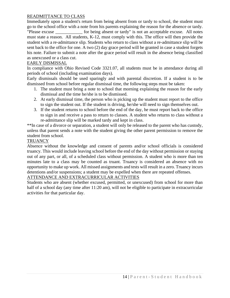# READMITTANCE TO CLASS

Immediately upon a student's return from being absent from or tardy to school, the student must go to the school office with a note from his parents explaining the reason for the absence or tardy. "Please excuse \_\_\_\_\_\_\_\_\_\_\_\_ for being absent or tardy" is not an acceptable excuse. All notes must state a reason. All students, K-12, must comply with this. The office will then provide the student with a re-admittance slip. Students who return to class without a re-admittance slip will be sent back to the office for one. A two (2) day grace period will be granted in case a student forgets his note. Failure to submit a note after the grace period will result in the absence being classified as unexcused or a class cut.

#### EARLY DISMISSAL

In compliance with Ohio Revised Code 3321.07, all students must be in attendance during all periods of school (including examination days).

Early dismissals should be used sparingly and with parental discretion. If a student is to be dismissed from school before regular dismissal time, the following steps must be taken:

- 1. The student must bring a note to school that morning explaining the reason for the early dismissal and the time he/she is to be dismissed.
- 2. At early dismissal time, the person who is picking up the student must report to the office to sign the student out. If the student is driving, he/she will need to sign themselves out.
- 3. If the student returns to school before the end of the day, he must report back to the office to sign in and receive a pass to return to classes. A student who returns to class without a re-admittance slip will be marked tardy and kept in class.

\*\*In case of a divorce or separation, a student will only be released to the parent who has custody, unless that parent sends a note with the student giving the other parent permission to remove the student from school.

#### **TRUANCY**

Absence without the knowledge and consent of parents and/or school officials is considered truancy. This would include leaving school before the end of the day without permission or staying out of any part, or all, of a scheduled class without permission. A student who is more than ten minutes late to a class may be counted as truant. Truancy is considered an absence with no opportunity to make up work. All missed assignments and tests will result in a zero. Truancy incurs detentions and/or suspensions; a student may be expelled when there are repeated offenses.

#### ATTENDANCE AND EXTRACURRICULAR ACTIVITIES

Students who are absent (whether excused, permitted, or unexcused) from school for more than half of a school day (any time after 11:20 am), will not be eligible to participate in extracurricular activities for that particular day.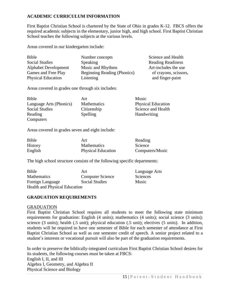# **ACADEMIC CURRICULUM INFORMATION**

First Baptist Christian School is chartered by the State of Ohio in grades K-12. FBCS offers the required academic subjects in the elementary, junior high, and high school. First Baptist Christian School teaches the following subjects at the various levels.

Areas covered in our kindergarten include:

| <b>Bible</b>                | Number concepts             | Science and Health       |
|-----------------------------|-----------------------------|--------------------------|
| <b>Social Studies</b>       | Speaking                    | <b>Reading Readiness</b> |
| <b>Alphabet Development</b> | Music and Rhythms           | Art-includes the use     |
| Games and Free Play         | Beginning Reading (Phonics) | of crayons, scissors,    |
| <b>Physical Education</b>   | Listening                   | and finger-paint         |

Areas covered in grades one through six includes:

| Bible                   | Art                | Music                     |
|-------------------------|--------------------|---------------------------|
| Language Arts (Phonics) | <b>Mathematics</b> | <b>Physical Education</b> |
| <b>Social Studies</b>   | Citizenship        | Science and Health        |
| Reading                 | Spelling           | Handwriting               |
| Computers               |                    |                           |

Areas covered in grades seven and eight include:

| Bible          | Art                       | Reading         |
|----------------|---------------------------|-----------------|
| <b>History</b> | <b>Mathematics</b>        | Science         |
| English        | <b>Physical Education</b> | Computers/Music |

The high school structure consists of the following specific departments:

| Bible                                | Art                     | Language Arts   |
|--------------------------------------|-------------------------|-----------------|
| <b>Mathematics</b>                   | <b>Computer Science</b> | <b>Sciences</b> |
| Foreign Language                     | <b>Social Studies</b>   | Music           |
| <b>Health and Physical Education</b> |                         |                 |

# **GRADUATION REQUIREMENTS**

#### GRADUATION

First Baptist Christian School requires all students to meet the following state minimum requirements for graduation: English (4 units); mathematics (4 units); social science (3 units); science (3 units); health (.5 unit); physical education (.5 unit); electives (5 units). In addition, students will be required to have one semester of Bible for each semester of attendance at First Baptist Christian School as well as one semester credit of speech. A senior project related to a student's interests or vocational pursuit will also be part of the graduation requirements.

In order to preserve the biblically-integrated curriculum First Baptist Christian School desires for its students, the following courses must be taken at FBCS: English I, II, and III Algebra I, Geometry, and Algebra II Physical Science and Biology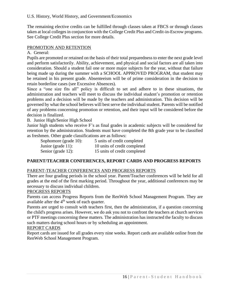The remaining elective credits can be fulfilled through classes taken at FBCS or through classes taken at local colleges in conjunction with the College Credit Plus and Credit-in-Escrow programs. See College Credit Plus section for more details.

# PROMOTION AND RETENTION

A. General:

Pupils are promoted or retained on the basis of their total preparedness to enter the next grade level and perform satisfactorily. Ability, achievement, and physical and social factors are all taken into consideration. Should a student fail one or more major subjects for the year, without that failure being made up during the summer with a SCHOOL APPROVED PROGRAM, that student may be retained in his present grade. Absenteeism will be of prime consideration in the decision to retain borderline cases (see Excessive Absences).

Since a "one size fits all" policy is difficult to set and adhere to in these situations, the administration and teachers will meet to discuss the individual student's promotion or retention problems and a decision will be made by the teachers and administration. This decision will be governed by what the school believes will best serve the individual student. Parents will be notified of any problems concerning promotion or retention, and their input will be considered before the decision is finalized.

# B. Junior High/Senior High School

Junior high students who receive F's as final grades in academic subjects will be considered for retention by the administration. Students must have completed the 8th grade year to be classified as freshmen. Other grade classifications are as follows:

| Sophomore (grade 10): | 5 units of credit completed  |
|-----------------------|------------------------------|
| Junior (grade $11$ ): | 10 units of credit completed |
| Senior (grade 12):    | 15 units of credit completed |

# **PARENT/TEACHER CONFERENCES, REPORT CARDS AND PROGRESS REPORTS**

# PARENT-TEACHER CONFERENCES AND PROGRESS REPORTS

There are four grading periods in the school year. Parent/Teacher conferences will be held for all grades at the end of the first marking period. Throughout the year, additional conferences may be necessary to discuss individual children.

# PROGRESS REPORTS

Parents can access Progress Reports from the RenWeb School Management Program. They are available after the 4<sup>th</sup> week of each quarter.

Parents are urged to consult with teachers first, then the administration, if a question concerning the child's progress arises. However, we do ask you not to confront the teachers at church services or PTF meetings concerning these matters. The administration has instructed the faculty to discuss such matters during school hours or by scheduling an appointment.

# REPORT CARDS

Report cards are issued for all grades every nine weeks. Report cards are available online from the RenWeb School Management Program.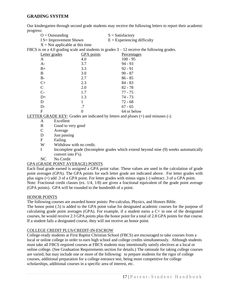#### **GRADING SYSTEM**

Our kindergarten through second grade students may receive the following letters to report their academic prog

| progress:         |                                   |                                                                                              |
|-------------------|-----------------------------------|----------------------------------------------------------------------------------------------|
| $O =$ Outstanding |                                   | $S = Satisfactory$                                                                           |
|                   | $I S =$ Improvement Shown         | $E =$ Experiencing difficulty                                                                |
|                   | $X = Not$ applicable at this time |                                                                                              |
|                   |                                   | FBCS is on a 4.0 grading scale and students in grades $3 - 12$ receive the following grades. |
| Letter grades     | <b>GPA</b> points                 | Percentages                                                                                  |
| A                 | 4.0                               | $100 - 95$                                                                                   |
| $A-$              | 3.7                               | $94 - 93$                                                                                    |
| $B+$              | 3.3                               | $92 - 91$                                                                                    |
| B                 | 3.0                               | $90 - 87$                                                                                    |
| $B-$              | 2.7                               | $86 - 85$                                                                                    |
| $C+$              | 2.3                               | $84 - 83$                                                                                    |
| C                 | 2.0                               | $82 - 78$                                                                                    |
| $C-$              | 1.7                               | 77 - 75                                                                                      |
| $D+$              | 1.3                               | 74 - 73                                                                                      |
| D                 |                                   | $72 - 68$                                                                                    |
| $D-$              | .7                                | $67 - 65$                                                                                    |
| F                 | 0                                 | 64 or below                                                                                  |

LETTER GRADE KEY: Grades are indicated by letters and pluses (+) and minuses (-).

- A Excellent
- B Good to very good
- C Average
- D Just passing
- F Failing
- W Withdraw with no credit.

I Incomplete grade (Incomplete grades which extend beyond nine (9) weeks automatically convert into F's).

NC No Credit

#### GPA (GRADE POINT AVERAGE) POINTS

Each final grade earned is assigned a GPA point value. These values are used in the calculation of grade point averages (GPA). The GPA points for each letter grade are indicated above. For letter grades with plus signs (+) add .3 of a GPA point. For letter grades with minus signs (-) subtract .3 of a GPA point. Note: Fractional credit classes (ex. 1/4, 1/8) are given a fractional equivalent of the grade point average (GPA points). GPA will be rounded to the hundredth of a point.

#### HONOR POINTS

The following courses are awarded honor points: Pre-calculus, Physics, and Honors Bible.

The honor point (.5) is added to the GPA point value for designated academic courses for the purpose of calculating grade point averages (GPA). For example, if a student earns a  $C<sub>+</sub>$  in one of the designated courses, he would receive 2.3 GPA points plus the honor point for a total of 2.8 GPA points for that course. If a student fails a designated course, they will not receive an honor point.

#### COLLEGE CREDIT PLUS/CREDIT-IN-ESCROW

College-ready students at First Baptist Christian School (FBCS) are encouraged to take courses from a local or online college in order to earn high school and college credits simultaneously. Although students must take all FBCS required courses at FBCS students may intentionally satisfy electives at a local or online college. (See Graduation Requirements section for details.) The rationale for taking college courses are varied, but may include one or more of the following: to prepare students for the rigor of college courses, additional preparation for a college entrance test, being more competitive for college scholarships, additional courses in a specific area of interest, etc.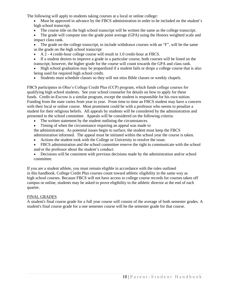The following will apply to students taking courses at a local or online college:

- Must be approved in advance by the FBCS administration in order to be included on the student's high school transcript.
- The course title on the high school transcript will be written the same as the college transcript.
- The grade will compute into the grade point average (GPA) using the Honors weighted scale and impact class rank.
- The grade on the college transcript, to include withdrawn courses with an "F", will be the same as the grade on the high school transcript
- A 2 4 credit-hour college course will result in 1.0 credit-hour at FBCS.
- If a student desires to improve a grade in a particular course, both courses will be listed on the transcript; however, the higher grade for the course will count towards the GPA and class rank.
- High school graduation may be jeopardized if a student fails or drops a college course that is also being used for required high school credit.
- Students must schedule classes so they will not miss Bible classes or weekly chapels.

FBCS participates in Ohio's College Credit Plus (CCP) program, which funds college courses for qualifying high school students. See your school counselor for details on how to apply for these funds. Credit-in-Escrow is a similar program, except the student is responsible for his own tuition. Funding from the state varies from year to year. From time to time an FBCS student may have a concern with their local or online course. Most prominent could be with a professor who seems to penalize a student for their religious beliefs. All appeals by students will be considered by the administration and presented to the school committee. Appeals will be considered on the following criteria:

- The written statement by the student outlining the circumstances.
- Timing of when the circumstance requiring an appeal was made to

the administration. As potential issues begin to surface, the student must keep the FBCS administration informed. The appeal must be initiated within the school year the course is taken.

- Actions the student took with the College or University to resolve the issue.
- FBCS administration and the school committee reserve the right to communicate with the school and/or the professor about the student's conduct.
- Decisions will be consistent with previous decisions made by the administration and/or school committee.

If you are a student athlete, you must remain eligible in accordance with the rules outlined in this handbook. College Credit Plus courses count toward athletic eligibility in the same way as high school courses. Because FBCS will not have access to college course records for courses taken off campus or online, students may be asked to prove eligibility to the athletic director at the end of each quarter.

#### FINAL GRADES

A student's final course grade for a full year course will consist of the average of both semester grades. A student's final course grade for a one semester course will be the semester grade for that course.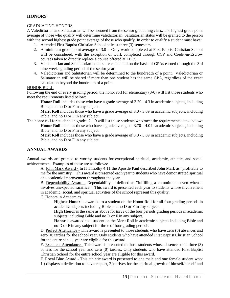#### **HONORS**

#### GRADUATING HONORS

A Valedictorian and Salutatorian will be honored from the senior graduating class. The highest grade point average of those who qualify will determine valedictorian. Salutatorian status will be granted to the person with the second highest grade point average of those who qualify. In order to qualify a student must have:

- 1. Attended First Baptist Christian School at least three (3) semesters
- 2. A minimum grade point average of 3.0 -- Only work completed at First Baptist Christian School will be considered, with the exception of work completed through CCP and Credit-in-Escrow courses taken to directly replace a course offered at FBCS.
- 3. Valedictorian and Salutatorian honors are calculated on the basis of GPAs earned through the 3rd nine-weeks grading period of the senior year.
- 4. Valedictorian and Salutatorian will be determined to the hundredth of a point. Valedictorian or Salutatorian will be shared if more than one student has the same GPA, regardless of the exact calculation beyond the hundredth of a point.

#### HONOR ROLL

Following the end of every grading period, the honor roll for elementary (3-6) will list those students who meet the requirements listed below:

**Honor Roll** includes those who have a grade average of 3.70 - 4.3 in academic subjects, including Bible, and no D or F in any subject.

**Merit Roll** includes those who have a grade average of 3.0 - 3.69 in academic subjects, including Bible, and no D or F in any subject.

The honor roll for students in grades  $7 - 9$  will list those students who meet the requirements listed below: **Honor Roll** includes those who have a grade average of  $3.70 - 4.0$  in academic subjects, including Bible, and no D or F in any subject.

**Merit Roll** includes those who have a grade average of 3.0 - 3.69 in academic subjects, including Bible, and no D or F in any subject.

#### **ANNUAL AWARDS**

Annual awards are granted to worthy students for exceptional spiritual, academic, athletic, and social achievements. Examples of these are as follows:

A. John Mark Award - In II Timothy 4:11 the Apostle Paul described John Mark as "profitable to me for the ministry." This award is presented each year to students who have demonstrated spiritual and academic improvement throughout the year.

B. Dependability Award - Dependability is defined as "fulfilling a commitment even when it involves unexpected sacrifice." This award is presented each year to students whose involvement in academic, social, and spiritual activities of the school represent this quality.

C. Honors in Academics

**Highest Honor** is awarded to a student on the Honor Roll for all four grading periods in academic subjects including Bible and no D or F in any subject.

**High Honor** is the same as above for *three* of the four periods grading periods in academic subjects including Bible and no D or F in any subject.

**Honor** is awarded to a student on the Merit Roll in academic subjects including Bible and no D or F in any subject for three of four grading periods.

D. Perfect Attendance - This award is presented to those students who have zero (0) absences and zero (0) tardies for the school year. Only students who have attended First Baptist Christian School for the entire school year are eligible for this award.

E. Excellent Attendance - This award is presented to those students whose absences total three (3) or less for the school year and zero (0) tardies. Only students who have attended First Baptist Christian School for the entire school year are eligible for this award.

F. Royal Blue Award - This athletic award is presented to one male and one female student who: 1.) displays a dedication to his/her sport, 2.) strives for the spiritual growth of himself/herself and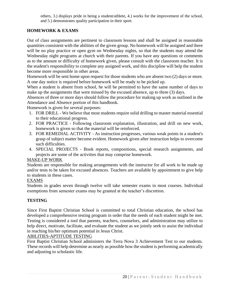others, 3.) displays pride in being a student/athlete, 4.) works for the improvement of the school, and 5.) demonstrates quality participation in their sport.

# **HOMEWORK & EXAMS**

Out of class assignments are pertinent to classroom lessons and shall be assigned in reasonable quantities consistent with the abilities of the given group. No homework will be assigned and there will be no play practice or open gym on Wednesday nights, so that the students may attend the Wednesday night programs at church with their parents. If you have any questions or comments as to the amount or difficulty of homework given, please consult with the classroom teacher. It is the student's responsibility to complete any assigned work, and this discipline will help the student become more responsible in other areas.

Homework will be sent home upon request for those students who are absent two (2) days or more. A one day notice is required before homework will be ready to be picked up.

When a student is absent from school, he will be permitted to have the same number of days to make up the assignments that were missed by the excused absence, up to three (3) days.

Absences of three or more days should follow the procedure for making up work as outlined in the Attendance and Absence portion of this handbook.

Homework is given for several purposes:

- 1. FOR DRILL We believe that most students require solid drilling to master material essential to their educational progress.
- 2. FOR PRACTICE Following classroom explanation, illustration, and drill on new work, homework is given so that the material will be reinforced.
- 3. FOR REMEDIAL ACTIVITY As instruction progresses, various weak points in a student's grasp of subject matter become evident. Homework given after instruction helps to overcome such difficulties.
- 4. SPECIAL PROJECTS Book reports, compositions, special research assignments, and projects are some of the activities that may comprise homework.

# MAKE-UP WORK

Students are responsible for making arrangements with the instructor for all work to be made up and/or tests to be taken for excused absences. Teachers are available by appointment to give help to students in these cases.

# EXAMS

Students in grades seven through twelve will take semester exams in most courses. Individual exemptions from semester exams may be granted at the teacher's discretion.

# **TESTING**

Since First Baptist Christian School is committed to total Christian education, the school has developed a comprehensive testing program in order that the needs of each student might be met. Testing is considered a tool that parents, teachers, counselors, and administration may utilize to help direct, motivate, facilitate, and evaluate the student as we jointly seek to assist the individual in reaching his/her optimum potential in Jesus Christ.

# ABILITIES-APTITUDE TESTING

First Baptist Christian School administers the Terra Nova 3 Achievement Test to our students. These records will help determine as nearly as possible how the student is performing academically and adjusting to scholastic life.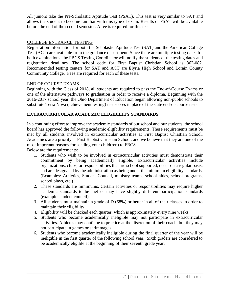All juniors take the Pre-Scholastic Aptitude Test (PSAT). This test is very similar to SAT and allows the student to become familiar with this type of exam. Results of PSAT will be available before the end of the second semester. A fee is required for this test.

# COLLEGE ENTRANCE TESTING

Registration information for both the Scholastic Aptitude Test (SAT) and the American College Test (ACT) are available from the guidance department. Since there are multiple testing dates for both examinations, the FBCS Testing Coordinator will notify the students of the testing dates and registration deadlines. The school code for First Baptist Christian School is 362-082. Recommended testing centers for SAT and ACT are Elyria High School and Lorain County Community College. Fees are required for each of these tests.

# END OF COURSE EXAMS

Beginning with the Class of 2018, all students are required to pass the End-of-Course Exams or one of the alternative pathways to graduation in order to receive a diploma. Beginning with the 2016-2017 school year, the Ohio Department of Education began allowing non-public schools to substitute Terra Nova (achievement testing) test scores in place of the state end-of-course tests.

# **EXTRACURRICULAR ACADEMIC ELIGIBILITY STANDARDS**

In a continuing effort to improve the academic standards of our school and our students, the school board has approved the following academic eligibility requirements. These requirements must be met by all students involved in extracurricular activities at First Baptist Christian School. Academics are a priority at First Baptist Christian School, and we believe that they are one of the most important reasons for sending your child(ren) to FBCS.

Below are the requirements:

- 1. Students who wish to be involved in extracurricular activities must demonstrate their commitment by being academically eligible. Extracurricular activities include organizations, clubs, or responsibilities that are school supported, occur on a regular basis, and are designated by the administration as being under the minimum eligibility standards. (Examples: Athletics, Student Council, ministry teams, school aides, school programs, school plays, etc.)
- 2. These standards are minimums. Certain activities or responsibilities may require higher academic standards to be met or may have slightly different participation standards (example: student council).
- 3. All students must maintain a grade of D (68%) or better in all of their classes in order to maintain their eligibility.
- 4. Eligibility will be checked each quarter, which is approximately every nine weeks.
- 5. Students who become academically ineligible may not participate in extracurricular activities. Athletes may continue to practice at the discretion of their coach, but they may not participate in games or scrimmages.
- 6. Students who become academically ineligible during the final quarter of the year will be ineligible in the first quarter of the following school year. Sixth graders are considered to be academically eligible at the beginning of their seventh grade year.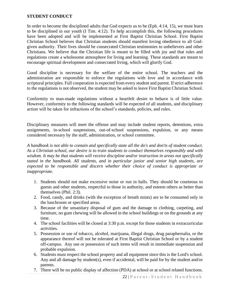#### **STUDENT CONDUCT**

In order to become the disciplined adults that God expects us to be (Eph. 4:14, 15), we must learn to be disciplined in our youth (I Tim. 4:12). To help accomplish this, the following procedures have been adopted and will be implemented at First Baptist Christian School. First Baptist Christian School believes that Christian students should manifest loving obedience to all Godgiven authority. Their lives should be consecrated Christian testimonies to unbelievers and other Christians. We believe that the Christian life is meant to be filled with joy and that rules and regulations create a wholesome atmosphere for living and learning. These standards are meant to encourage spiritual development and consecrated living, which will glorify God.

Good discipline is necessary for the welfare of the entire school. The teachers and the administration are responsible to enforce the regulations with love and in accordance with scriptural principles. Full cooperation is expected from every student and parent. If strict adherence to the regulations is not observed, the student may be asked to leave First Baptist Christian School.

Conformity to man-made regulations without a heartfelt desire to behave is of little value. However, conformity to the following standards will be expected of all students, and disciplinary action will be taken for infractions of the school's standards, policies, and rules.

Disciplinary measures will meet the offense and may include student reports, detentions, extra assignments, in-school suspensions, out-of-school suspensions, expulsion, or any means considered necessary by the staff, administration, or school committee.

*A handbook is not able to contain and specifically state all the do's and don'ts of student conduct. As a Christian school, our desire is to train students to conduct themselves responsibly and with wisdom. It may be that students will receive discipline and/or instruction in areas not specifically stated in the handbook. All students, and in particular junior and senior high students, are expected to be responsible and discern whether their choice of conduct is appropriate or inappropriate.* 

- 1. Students should not make excessive noise or run in halls. They should be courteous to guests and other students, respectful to those in authority, and esteem others as better than themselves (Phil. 2:3).
- 2. Food, candy, and drinks (with the exception of breath mints) are to be consumed only in the lunchroom or specified areas.
- 3. Because of the unsanitary disposal of gum and the damage to clothing, carpeting, and furniture, no gum chewing will be allowed in the school buildings or on the grounds at any time.
- 4. The school facilities will be closed at 3:30 p.m. except for those students in extracurricular activities.
- 5. Possession or use of tobacco, alcohol, marijuana, illegal drugs, drug paraphernalia, or the appearance thereof will not be tolerated at First Baptist Christian School or by a student off-campus. Any use or possession of such items will result in immediate suspension and probable expulsion.
- 6. Students must respect the school property and all equipment since this is the Lord's school. Any and all damage by student(s), even if accidental, will be paid for by the student and/or parents.
- 7. There will be no public display of affection (PDA) at school or at school related functions.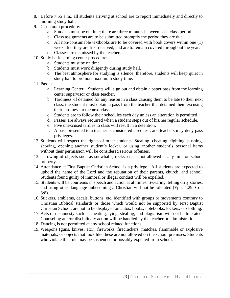- 8. Before 7:55 a.m., all students arriving at school are to report immediately and directly to morning study hall.
- 9. Classroom procedure:
	- a. Students must be on time; there are three minutes between each class period.
	- b. Class assignments are to be submitted promptly the period they are due.
	- c. All non-consumable textbooks are to be covered with book covers within one (1) week after they are first received, and are to remain covered throughout the year.
	- d. Classes are dismissed by the teachers.
- 10. Study hall/learning center procedure:
	- a. Students must be on time.
	- b. Students must work diligently during study hall.
	- c. The best atmosphere for studying is silence; therefore, students will keep quiet in study hall to promote maximum study time.
- 11. Passes:
	- a. Learning Center Students will sign out and obtain a paper pass from the learning center supervisor or class teacher.
	- b. Tardiness -If detained for any reason in a class causing them to be late to their next class, the student must obtain a pass from the teacher that detained them excusing their tardiness to the next class.
	- c. Students are to follow their schedules each day unless an alteration is permitted.
	- d. Passes are always required when a student steps out of his/her regular schedule.
	- e. Five unexcused tardies to class will result in a detention.
	- f. A pass presented to a teacher is considered a request, and teachers may deny pass privileges.
- 12. Students will respect the rights of other students. Stealing, cheating, fighting, pushing, shoving, opening another student's locker, or using another student's personal items without their permission will be considered serious offenses.
- 13. Throwing of objects such as snowballs, rocks, etc. is not allowed at any time on school property.
- 14. Attendance at First Baptist Christian School is a privilege. All students are expected to uphold the name of the Lord and the reputation of their parents, church, and school. Students found guilty of immoral or illegal conduct will be expelled.
- 15. Students will be courteous in speech and action at all times. Swearing, telling dirty stories, and using other language unbecoming a Christian will not be tolerated (Eph. 4:29, Col. 3:8).
- 16. Stickers, emblems, decals, buttons, etc. identified with groups or movements contrary to Christian Biblical standards or those which would not be supported by First Baptist Christian School, are not to be displayed on autos, books, notebooks, lockers, or clothing.
- 17. Acts of dishonesty such as cheating, lying, stealing, and plagiarism will not be tolerated. Counseling and/or disciplinary action will be handled by the teacher or administration.
- 18. Dancing is not permitted at any school related functions.
- 19. Weapons (guns, knives, etc.), fireworks, firecrackers, matches, flammable or explosive materials, or objects that look like these are not allowed on the school premises. Students who violate this rule may be suspended or possibly expelled from school.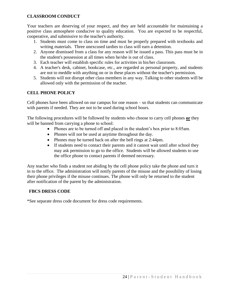# **CLASSROOM CONDUCT**

Your teachers are deserving of your respect, and they are held accountable for maintaining a positive class atmosphere conducive to quality education. You are expected to be respectful, cooperative, and submissive to the teacher's authority.

- 1. Students must come to class on time and must be properly prepared with textbooks and writing materials. Three unexcused tardies to class will earn a detention.
- 2. Anyone dismissed from a class for any reason will be issued a pass. This pass must be in the student's possession at all times when he/she is out of class.
- 3. Each teacher will establish specific rules for activities in his/her classroom.
- 4. A teacher's desk, cabinet, bookcase, etc., are regarded as personal property, and students are not to meddle with anything on or in these places without the teacher's permission.
- 5. Students will not disrupt other class members in any way. Talking to other students will be allowed only with the permission of the teacher.

# **CELL PHONE POLICY**

Cell phones have been allowed on our campus for one reason – so that students can communicate with parents if needed. They are not to be used during school hours.

The following procedures will be followed by students who choose to carry cell phones **or** they will be banned from carrying a phone to school:

- Phones are to be turned off and placed in the student's box prior to 8:05am.
- Phones will not be used at anytime throughout the day.
- Phones may be turned back on after the bell rings at 2:44pm.
- If students need to contact their parents and it cannot wait until after school they may ask permission to go to the office. Students will be allowed students to use the office phone to contact parents if deemed necessary.

Any teacher who finds a student not abiding by the cell phone policy take the phone and turn it in to the office. The administration will notify parents of the misuse and the possibility of losing their phone privileges if the misuse continues. The phone will only be returned to the student after notification of the parent by the administration.

# **FBCS DRESS CODE**

\*See separate dress code document for dress code requirements.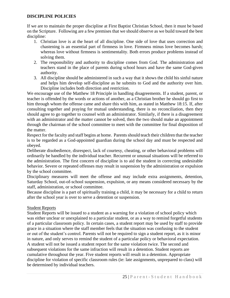# **DISCIPLINE POLICIES**

If we are to maintain the proper discipline at First Baptist Christian School, then it must be based on the Scripture. Following are a few premises that we should observe as we build toward the best discipline:

- 1. Christian love is at the heart of all discipline. One side of love that uses correction and chastening is an essential part of firmness in love. Firmness minus love becomes harsh; whereas love without firmness is sentimentality. Both errors produce problems instead of solving them.
- 2. The responsibility and authority to discipline comes from God. The administration and teachers stand in the place of parents during school hours and have the same God-given authority.
- 3. All discipline should be administered in such a way that it shows the child his sinful nature and helps him develop self-discipline as he submits to God and the authority over him. Discipline includes both direction and restriction.

We encourage use of the Matthew 18 Principle in handling disagreements. If a student, parent, or teacher is offended by the words or actions of another, as a Christian brother he should go first to him through whom the offense came and share this with him, as stated in Matthew 18:15. If, after consulting together and praying for mutual understanding, there is no reconciliation, then they should agree to go together to counsel with an administrator. Similarly, if there is a disagreement with an administrator and the matter cannot be solved, then the two should make an appointment through the chairman of the school committee to meet with the committee for final disposition of the matter.

Respect for the faculty and staff begins at home. Parents should teach their children that the teacher is to be regarded as a God-appointed guardian during the school day and must be respected and obeyed.

Deliberate disobedience, disrespect, lack of courtesy, cheating, or other behavioral problems will ordinarily be handled by the individual teacher. Recurrent or unusual situations will be referred to the administration. The first concern of discipline is to aid the student in correcting undesirable behavior. Severe or repeated offenses may result in suspension by the administration or expulsion by the school committee.

Disciplinary measures will meet the offense and may include extra assignments, detention, Saturday School, out-of-school suspension, expulsion, or any means considered necessary by the staff, administration, or school committee.

Because discipline is a part of spiritually training a child, it may be necessary for a child to return after the school year is over to serve a detention or suspension.

# Student Reports

Student Reports will be issued to a student as a warning for a violation of school policy which was either unclear or unexplained to a particular student, or as a way to remind forgetful students of a particular classroom policy. In certain cases, a student report may be used by staff to provide grace in a situation where the staff member feels that the situation was confusing to the student or out of the student's control. Parents will not be required to sign a student report, as it is minor in nature, and only serves to remind the student of a particular policy or behavioral expectation. A student will not be issued a student report for the same violation twice. The second and subsequent violations for the same infraction will result in a detention. Student reports are cumulative throughout the year. Five student reports will result in a detention. Appropriate discipline for violation of specific classroom rules (ie: late assignments, unprepared to class) will be determined by individual teachers.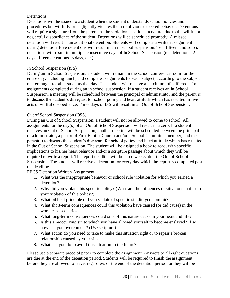# Detentions

Detentions will be issued to a student when the student understands school policies and procedures but willfully or negligently violates them or obvious expected behavior. Detentions will require a signature from the parent, as the violation is serious in nature, due to the willful or neglectful disobedience of the student. Detentions will be scheduled promptly. A missed detention will result in an additional detention. Students will complete a written assignment during detention. Five detentions will result in an in school suspension. Ten, fifteen, and so on, detentions will result in multiple consecutive days of In School Suspension (ten detentions=2 days, fifteen detentions=3 days, etc.).

# In School Suspension (ISS)

During an In School Suspension, a student will remain in the school conference room for the entire day, including lunch, and complete assignments for each subject, according to the subject matter taught to other students that day. The student will receive a maximum of half credit for assignments completed during an in school suspension. If a student receives an In School Suspension, a meeting will be scheduled between the principal or administrator and the parent(s) to discuss the student's disregard for school policy and heart attitude which has resulted in five acts of willful disobedience. Three days of ISS will result in an Out of School Suspension.

# Out of School Suspension (OSS)

During an Out of School Suspension, a student will not be allowed to come to school. All assignments for the day(s) of an Out of School Suspension will result in a zero. If a student receives an Out of School Suspension, another meeting will be scheduled between the principal or administrator, a pastor of First Baptist Church and/or a School Committee member, and the parent(s) to discuss the student's disregard for school policy and heart attitude which has resulted in the Out of School Suspension. The student will be assigned a book to read, with specific implications to his/her heart behavior and/or a scripture passage about which they will be required to write a report. The report deadline will be three weeks after the Out of School Suspension. The student will receive a detention for every day which the report is completed past the deadline.

# FBCS Detention Written Assignment

- 1. What was the inappropriate behavior or school rule violation for which you earned a detention?
- 2. Why did you violate this specific policy? (What are the influences or situations that led to your violation of this policy?)
- 3. What biblical principle did you violate of specific sin did you commit?
- 4. What short-term consequences could this violation have caused (or did cause) in the worst case scenario?
- 5. What long-term consequences could sins of this nature cause in your heart and life?
- 6. Is this a reoccurring sin to which you have allowed yourself to become enslaved? If so, how can you overcome it? (Use scripture)
- 7. What action do you need to take to make this situation right or to repair a broken relationship caused by your sin?
- 8. What can you do to avoid this situation in the future?

Please use a separate piece of paper to complete the assignment. Answers to all eight questions are due at the end of the detention period. Students will be required to finish the assignment before they are allowed to leave, regardless of the end of the detention period, or they will be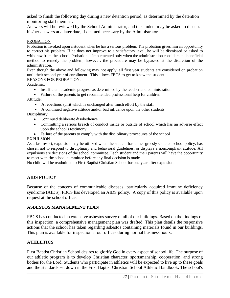asked to finish the following day during a new detention period, as determined by the detention monitoring staff member.

Answers will be reviewed by the School Administrator, and the student may be asked to discuss his/her answers at a later date, if deemed necessary by the Administrator.

#### PROBATION

Probation is invoked upon a student when he has a serious problem. The probation gives him an opportunity to correct his problem. If he does not improve to a satisfactory level, he will be dismissed or asked to withdraw from the school. Probation is implemented only when the administration considers it a beneficial method to remedy the problem; however, the procedure may be bypassed at the discretion of the administration.

Even though the above and following may not apply, all first year students are considered on probation until their second year of enrollment. This allows FBCS to get to know the student.

REASONS FOR PROBATION:

Academic:

- Insufficient academic progress as determined by the teacher and administration
- Failure of the parents to get recommended professional help for children

Attitude:

- A rebellious spirit which is unchanged after much effort by the staff
- A continued negative attitude and/or bad influence upon the other students Disciplinary:
	- Continued deliberate disobedience
	- Committing a serious breach of conduct inside or outside of school which has an adverse effect upon the school's testimony
	- Failure of the parents to comply with the disciplinary procedures of the school

# EXPULSION

As a last resort, expulsion may be utilized when the student has either grossly violated school policy, has chosen not to respond to disciplinary and behavioral guidelines, or displays a noncompliant attitude. All expulsions are decisions of the school committee. Each student and their parents will have the opportunity to meet with the school committee before any final decision is made.

No child will be readmitted to First Baptist Christian School for one year after expulsion.

# **AIDS POLICY**

Because of the concern of communicable diseases, particularly acquired immune deficiency syndrome (AIDS), FBCS has developed an AIDS policy. A copy of this policy is available upon request at the school office.

# **ASBESTOS MANAGEMENT PLAN**

FBCS has conducted an extensive asbestos survey of all of our buildings. Based on the findings of this inspection, a comprehensive management plan was drafted. This plan details the responsive actions that the school has taken regarding asbestos containing materials found in our buildings. This plan is available for inspection at our offices during normal business hours.

# **ATHLETICS**

First Baptist Christian School desires to glorify God in every aspect of school life. The purpose of our athletic program is to develop Christian character, sportsmanship, cooperation, and strong bodies for the Lord. Students who participate in athletics will be expected to live up to these goals and the standards set down in the First Baptist Christian School Athletic Handbook. The school's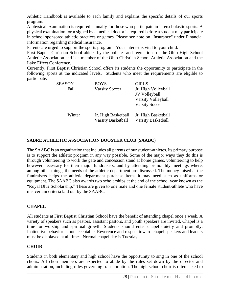Athletic Handbook is available to each family and explains the specific details of our sports program.

A physical examination is required annually for those who participate in interscholastic sports. A physical examination form signed by a medical doctor is required before a student may participate in school sponsored athletic practices or games. Please see note on "Insurance" under Financial Information regarding medical insurance.

Parents are urged to support the sports program. Your interest is vital to your child.

First Baptist Christian School abides by the policies and regulations of the Ohio High School Athletic Association and is a member of the Ohio Christian School Athletic Association and the Lake Effect Conference.

Currently, First Baptist Christian School offers its students the opportunity to participate in the following sports at the indicated levels. Students who meet the requirements are eligible to participate.

| <b>SEASON</b> | <b>BOYS</b>               | <b>GIRLS</b>              |
|---------------|---------------------------|---------------------------|
| Fall          | <b>Varsity Soccer</b>     | Jr. High Volleyball       |
|               |                           | JV Volleyball             |
|               |                           | Varsity Volleyball        |
|               |                           | <b>Varsity Soccer</b>     |
| Winter        | Jr. High Basketball       | Jr. High Basketball       |
|               | <b>Varsity Basketball</b> | <b>Varsity Basketball</b> |

# **SABRE ATHLETIC ASSOCIATION BOOSTER CLUB (SAABC)**

The SAABC is an organization that includes all parents of our student-athletes. Its primary purpose is to support the athletic program in any way possible. Some of the major ways they do this is through volunteering to work the gate and concession stand at home games, volunteering to help however necessary for their major fundraisers, and by attending bi-monthly meetings where, among other things, the needs of the athletic department are discussed. The money raised at the fundraisers helps the athletic department purchase items it may need such as uniforms or equipment. The SAABC also awards two scholarships at the end of the school year known as the "Royal Blue Scholarship." These are given to one male and one female student-athlete who have met certain criteria laid out by the SAABC.

# **CHAPEL**

All students at First Baptist Christian School have the benefit of attending chapel once a week. A variety of speakers such as pastors, assistant pastors, and youth speakers are invited. Chapel is a time for worship and spiritual growth. Students should enter chapel quietly and promptly. Inattentive behavior is not acceptable. Reverence and respect toward chapel speakers and leaders must be displayed at all times. Normal chapel day is Tuesday.

# **CHOIR**

Students in both elementary and high school have the opportunity to sing in one of the school choirs. All choir members are expected to abide by the rules set down by the director and administration, including rules governing transportation. The high school choir is often asked to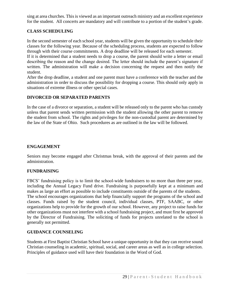sing at area churches. This is viewed as an important outreach ministry and an excellent experience for the student. All concerts are mandatory and will contribute to a portion of the student's grade.

# **CLASS SCHEDULING**

In the second semester of each school year, students will be given the opportunity to schedule their classes for the following year. Because of the scheduling process, students are expected to follow through with their course commitments. A drop deadline will be released for each semester.

If it is determined that a student needs to drop a course, the parent should write a letter or email describing the reason and the change desired. The letter should include the parent's signature if written. The administration will make a decision concerning the request and then notify the student.

After the drop deadline, a student and one parent must have a conference with the teacher and the administration in order to discuss the possibility for dropping a course. This should only apply in situations of extreme illness or other special cases.

# **DIVORCED OR SEPARATED PARENTS**

In the case of a divorce or separation, a student will be released only to the parent who has custody unless that parent sends written permission with the student allowing the other parent to remove the student from school. The rights and privileges for the non-custodial parent are determined by the law of the State of Ohio. Such procedures as are outlined in the law will be followed.

#### **ENGAGEMENT**

Seniors may become engaged after Christmas break, with the approval of their parents and the administration.

# **FUNDRAISING**

FBCS' fundraising policy is to limit the school-wide fundraisers to no more than three per year, including the Annual Legacy Fund drive. Fundraising is purposefully kept at a minimum and makes as large an effort as possible to include constituents outside of the parents of the students. The school encourages organizations that help financially support the programs of the school and classes. Funds raised by the student council, individual classes, PTF, SAABC, or other organizations help to provide for the growth of our school. However, any project to raise funds for other organizations must not interfere with a school fundraising project, and must first be approved by the Director of Fundraising. The soliciting of funds for projects unrelated to the school is generally not permitted.

# **GUIDANCE COUNSELING**

Students at First Baptist Christian School have a unique opportunity in that they can receive sound Christian counseling in academic, spiritual, social, and career areas as well as in college selection. Principles of guidance used will have their foundation in the Word of God.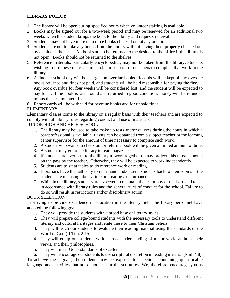# **LIBRARY POLICY**

- 1. The library will be open during specified hours when volunteer staffing is available.
- 2. Books may be signed out for a two-week period and may be renewed for an additional two weeks when the student brings the book to the library and requests renewal.
- 3. Students may not have more than three books checked out at any one time.
- 4. Students are not to take any books from the library without having them properly checked out by an aide at the desk. All books are to be returned to the desk or to the office if the library is not open. Books should not be returned to the shelves.
- 5. Reference materials, particularly encyclopedias, may not be taken from the library. Students wishing to use these materials must obtain passes from teachers to complete that work in the library.
- 6. A fine per school day will be charged on overdue books. Records will be kept of any overdue books returned and fines not paid, and students will be held responsible for paying the fine.
- 7. Any book overdue for four weeks will be considered lost, and the student will be expected to pay for it. If the book is later found and returned in good condition, money will be refunded minus the accumulated fine.
- 8. Report cards will be withheld for overdue books and for unpaid fines.

# ELEMENTARY

Elementary classes come to the library on a regular basis with their teachers and are expected to comply with all library rules regarding conduct and use of materials.

# JUNIOR HIGH AND HIGH SCHOOL

- 1. The library may be used to take make up tests and/or quizzes during the hours in which a paraprofessional is available. Passes can be obtained from a subject teacher or the learning center supervisor for the amount of time necessary to complete such work.
- 2. A student who wants to check out or return a book will be given a limited amount of time.
- 3. A student may go to the library to read magazines.
- 4. If students are ever sent to the library to work together on any project, this must be noted on the pass by the teacher. Otherwise, they will be expected to work independently.
- 5. Students are to sit at tables to do reference work or reading.
- 6. Librarians have the authority to reprimand and/or send students back to their rooms if the students are misusing library time or creating a disturbance.
- 7. While in the library, students are expected to maintain the testimony of the Lord and to act in accordance with library rules and the general rules of conduct for the school. Failure to do so will result in restrictions and/or disciplinary action.

# BOOK SELECTION

In striving to provide excellence in education in the literary field, the library personnel have adopted the following goals.

- 1. They will provide the students with a broad base of literary styles.
- 2. They will prepare college-bound students with the necessary tools to understand different literary and cultural heritages and relate these to their Christian beliefs.
- 3. They will teach our students to evaluate their reading material using the standards of the Word of God (II Tim. 2:15).
- 4. They will equip our students with a broad understanding of major world authors, their views, and their philosophies.
- 5. They will meet God's standards of excellence.

6. They will encourage our students to use scriptural discretion in reading material (Phil. 4:8). To achieve these goals, the students may be exposed to selections containing questionable language and activities that are denounced in the scriptures. We, therefore, encourage you as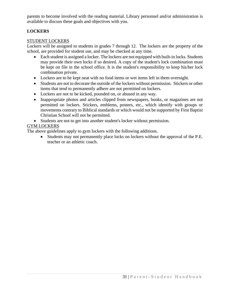parents to become involved with the reading material. Library personnel and/or administration is available to discuss these goals and objectives with you.

# **LOCKERS**

# STUDENT LOCKERS

Lockers will be assigned to students in grades 7 through 12. The lockers are the property of the school, are provided for student use, and may be checked at any time.

- Each student is assigned a locker. The lockers are not equipped with built-in locks. Students may provide their own locks if so desired. A copy of the student's lock combination must be kept on file in the school office. It is the student's responsibility to keep his/her lock combination private.
- Lockers are to be kept neat with no food items or wet items left in them overnight.
- Students are not to decorate the outside of the lockers without permission. Stickers or other items that tend to permanently adhere are not permitted on lockers.
- Lockers are not to be kicked, pounded on, or abused in any way.
- Inappropriate photos and articles clipped from newspapers, books, or magazines are not permitted on lockers. Stickers, emblems, posters, etc., which identify with groups or movements contrary to Biblical standards or which would not be supported by First Baptist Christian School will not be permitted.
- Students are not to get into another student's locker without permission.

# GYM LOCKERS

The above guidelines apply to gym lockers with the following additions.

• Students may not permanently place locks on lockers without the approval of the P.E. teacher or an athletic coach.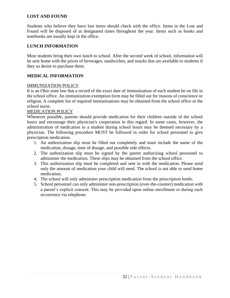# **LOST AND FOUND**

Students who believe they have lost items should check with the office. Items in the Lost and Found will be disposed of at designated times throughout the year. Items such as books and notebooks are usually kept in the office.

# **LUNCH INFORMATION**

Most students bring their own lunch to school. After the second week of school, information will be sent home with the prices of beverages, sandwiches, and snacks that are available to students if they so desire to purchase them.

# **MEDICAL INFORMATION**

# IMMUNIZATION POLICY

It is an Ohio state law that a record of the exact date of immunization of each student be on file in the school office. An immunization exemption form may be filled out for reasons of conscience or religion. A complete list of required immunizations may be obtained from the school office or the school nurse.

#### MEDICATION POLICY

Whenever possible, parents should provide medication for their children outside of the school hours and encourage their physician's cooperation in this regard. In some cases, however, the administration of medication to a student during school hours may be deemed necessary by a physician. The following procedure MUST be followed in order for school personnel to give prescription medication.

- 1. An authorization slip must be filled out completely and must include the name of the medication, dosage, time of dosage, and possible side effects.
- 2. The authorization slip must be signed by the parent authorizing school personnel to administer the medication. These slips may be obtained from the school office.
- 3. This authorization slip must be completed and sent in with the medication. Please send only the amount of medication your child will need. The school is not able to send home medication.
- 4. The school will only administer prescription medication from the prescription bottle.
- 5. School personnel can only administer non-prescription (over-the-counter) medication with a parent's explicit consent. This may be provided upon online enrollment or during each occurrence via telephone.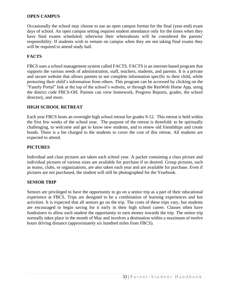# **OPEN CAMPUS**

Occasionally the school may choose to use an open campus format for the final (year-end) exam days of school. An open campus setting requires student attendance only for the times when they have final exams scheduled; otherwise their whereabouts will be considered the parents' responsibility. If students wish to remain on campus when they are not taking final exams they will be required to attend study hall.

# **FACTS**

FBCS uses a school management system called FACTS. FACTS is an internet-based program that supports the various needs of administration, staff, teachers, students, and parents. It is a private and secure website that allows parents to see complete information specific to their child, while protecting their child's information from others. This program can be accessed by clicking on the "Family Portal" link at the top of the school's website, or through the RenWeb Home App, using the district code FBCS-OH. Parents can view homework, Progress Reports, grades, the school directory, and more.

#### **HIGH SCHOOL RETREAT**

Each year FBCS hosts an overnight high school retreat for grades 9-12. This retreat is held within the first few weeks of the school year. The purpose of the retreat is threefold: to be spiritually challenging, to welcome and get to know new students, and to renew old friendships and create bonds. There is a fee charged to the students to cover the cost of this retreat. All students are expected to attend.

# **PICTURES**

Individual and class pictures are taken each school year. A packet containing a class picture and individual pictures of various sizes are available for purchase if so desired. Group pictures, such as teams, clubs, or organizations, are also taken each year and are available for purchase. Even if pictures are not purchased, the student will still be photographed for the Yearbook.

# **SENIOR TRIP**

Seniors are privileged to have the opportunity to go on a senior trip as a part of their educational experience at FBCS. Trips are designed to be a combination of learning experiences and fun activities. It is expected that all seniors go on the trip. The costs of these trips vary, but students are encouraged to begin saving for it early in their high school career. Classes often have fundraisers to allow each student the opportunity to earn money towards the trip. The senior trip normally takes place in the month of May and involves a destination within a maximum of twelve hours driving distance (approximately six hundred miles from FBCS).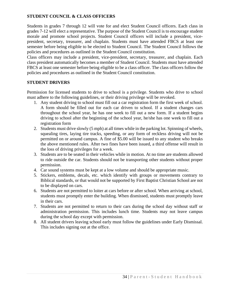# **STUDENT COUNCIL & CLASS OFFICERS**

Students in grades 7 through 12 will vote for and elect Student Council officers. Each class in grades 7-12 will elect a representative. The purpose of the Student Council is to encourage student morale and promote school projects. Student Council officers will include a president, vicepresident, secretary, treasurer, and chaplain. Students must have attended FBCS at least one semester before being eligible to be elected to Student Council. The Student Council follows the policies and procedures as outlined in the Student Council constitution.

Class officers may include a president, vice-president, secretary, treasurer, and chaplain. Each class president automatically becomes a member of Student Council. Students must have attended FBCS at least one semester before being eligible to be a class officer. The class officers follow the policies and procedures as outlined in the Student Council constitution.

#### **STUDENT DRIVERS**

Permission for licensed students to drive to school is a privilege. Students who drive to school must adhere to the following guidelines, or their driving privilege will be revoked.

- 1. Any student driving to school must fill out a car registration form the first week of school. A form should be filled out for each car driven to school. If a student changes cars throughout the school year, he has one week to fill out a new form. If a student begins driving to school after the beginning of the school year, he/she has one week to fill out a registration form
- 2. Students must drive slowly (5 mph) at all times while in the parking lot. Spinning of wheels, squealing tires, laying tire tracks, speeding, or any form of reckless driving will not be permitted on or around campus. A fine of \$5.00 will be issued to any student who breaks the above mentioned rules. After two fines have been issued, a third offense will result in the loss of driving privileges for a week.
- 3. Students are to be seated in their vehicles while in motion. At no time are students allowed to ride outside the car. Students should not be transporting other students without proper permission.
- 4. Car sound systems must be kept at a low volume and should be appropriate music.
- 5. Stickers, emblems, decals, etc. which identify with groups or movements contrary to Biblical standards, or that would not be supported by First Baptist Christian School are not to be displayed on cars.
- 6. Students are not permitted to loiter at cars before or after school. When arriving at school, students must promptly enter the building. When dismissed, students must promptly leave in their cars.
- 7. Students are not permitted to return to their cars during the school day without staff or administration permission. This includes lunch time. Students may not leave campus during the school day except with permission.
- 8. All student drivers leaving school early must follow the guidelines under Early Dismissal. This includes signing out at the office.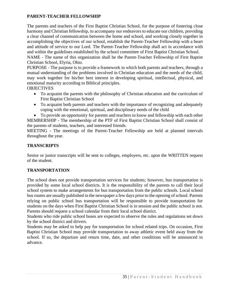# **PARENT-TEACHER FELLOWSHIP**

The parents and teachers of the First Baptist Christian School, for the purpose of fostering close harmony and Christian fellowship, to accompany our endeavors to educate our children, providing a clear channel of communication between the home and school, and working closely together in accomplishing the objectives of our school, establish the Parent-Teacher Fellowship with a heart and attitude of service to our Lord. The Parent-Teacher Fellowship shall act in accordance with and within the guidelines established by the school committee of First Baptist Christian School.

NAME - The name of this organization shall be the Parent-Teacher Fellowship of First Baptist Christian School, Elyria, Ohio.

PURPOSE - The purpose is to provide a framework in which both parents and teachers, through a mutual understanding of the problems involved in Christian education and the needs of the child, may work together for his/her best interest in developing spiritual, intellectual, physical, and emotional maturity according to Biblical principles.

**OBJECTIVES** 

- To acquaint the parents with the philosophy of Christian education and the curriculum of First Baptist Christian School
- To acquaint both parents and teachers with the importance of recognizing and adequately coping with the emotional, spiritual, and disciplinary needs of the child

• To provide an opportunity for parents and teachers to know and fellowship with each other MEMBERSHIP - The membership of the PTF of First Baptist Christian School shall consist of the parents of students, teachers, and interested friends.

MEETING - The meetings of the Parent-Teacher Fellowship are held at planned intervals throughout the year.

# **TRANSCRIPTS**

Senior or junior transcripts will be sent to colleges, employers, etc. upon the WRITTEN request of the student.

# **TRANSPORTATION**

The school does not provide transportation services for students; however, bus transportation is provided by some local school districts. It is the responsibility of the parents to call their local school system to make arrangements for bus transportation from the public schools. Local school bus routes are usually published in the newspaper a few days prior to the opening of school. Parents relying on public school bus transportation will be responsible to provide transportation for students on the days when First Baptist Christian School is in session and the public school is not. Parents should request a school calendar from their local school district.

Students who ride public school buses are expected to observe the rules and regulations set down by the school district and drivers.

Students may be asked to help pay for transportation for school related trips. On occasion, First Baptist Christian School may provide transportation to away athletic event held away from the school. If so, the departure and return time, date, and other conditions will be announced in advance.